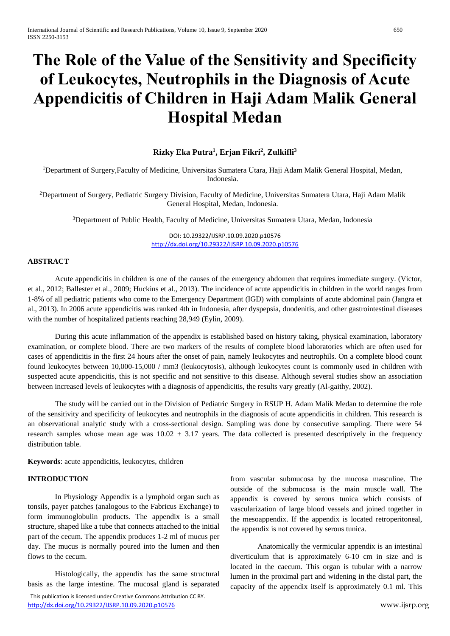# **The Role of the Value of the Sensitivity and Specificity of Leukocytes, Neutrophils in the Diagnosis of Acute Appendicitis of Children in Haji Adam Malik General Hospital Medan**

## **Rizky Eka Putra<sup>1</sup> , Erjan Fikri<sup>2</sup> , Zulkifli<sup>3</sup>**

<sup>1</sup>Department of Surgery,Faculty of Medicine, Universitas Sumatera Utara, Haji Adam Malik General Hospital, Medan, Indonesia.

<sup>2</sup>Department of Surgery, Pediatric Surgery Division, Faculty of Medicine, Universitas Sumatera Utara, Haji Adam Malik General Hospital, Medan, Indonesia.

<sup>3</sup>Department of Public Health, Faculty of Medicine, Universitas Sumatera Utara, Medan, Indonesia

DOI: 10.29322/IJSRP.10.09.2020.p10576 <http://dx.doi.org/10.29322/IJSRP.10.09.2020.p10576>

### **ABSTRACT**

Acute appendicitis in children is one of the causes of the emergency abdomen that requires immediate surgery. (Victor, et al., 2012; Ballester et al., 2009; Huckins et al., 2013). The incidence of acute appendicitis in children in the world ranges from 1-8% of all pediatric patients who come to the Emergency Department (IGD) with complaints of acute abdominal pain (Jangra et al., 2013). In 2006 acute appendicitis was ranked 4th in Indonesia, after dyspepsia, duodenitis, and other gastrointestinal diseases with the number of hospitalized patients reaching 28,949 (Eylin, 2009).

During this acute inflammation of the appendix is established based on history taking, physical examination, laboratory examination, or complete blood. There are two markers of the results of complete blood laboratories which are often used for cases of appendicitis in the first 24 hours after the onset of pain, namely leukocytes and neutrophils. On a complete blood count found leukocytes between 10,000-15,000 / mm3 (leukocytosis), although leukocytes count is commonly used in children with suspected acute appendicitis, this is not specific and not sensitive to this disease. Although several studies show an association between increased levels of leukocytes with a diagnosis of appendicitis, the results vary greatly (Al-gaithy, 2002).

The study will be carried out in the Division of Pediatric Surgery in RSUP H. Adam Malik Medan to determine the role of the sensitivity and specificity of leukocytes and neutrophils in the diagnosis of acute appendicitis in children. This research is an observational analytic study with a cross-sectional design. Sampling was done by consecutive sampling. There were 54 research samples whose mean age was  $10.02 \pm 3.17$  years. The data collected is presented descriptively in the frequency distribution table.

**Keywords**: acute appendicitis, leukocytes, children

#### **INTRODUCTION**

In Physiology Appendix is a lymphoid organ such as tonsils, payer patches (analogous to the Fabricus Exchange) to form immunoglobulin products. The appendix is a small structure, shaped like a tube that connects attached to the initial part of the cecum. The appendix produces 1-2 ml of mucus per day. The mucus is normally poured into the lumen and then flows to the cecum.

Histologically, the appendix has the same structural basis as the large intestine. The mucosal gland is separated from vascular submucosa by the mucosa masculine. The outside of the submucosa is the main muscle wall. The appendix is covered by serous tunica which consists of vascularization of large blood vessels and joined together in the mesoappendix. If the appendix is located retroperitoneal, the appendix is not covered by serous tunica.

Anatomically the vermicular appendix is an intestinal diverticulum that is approximately 6-10 cm in size and is located in the caecum. This organ is tubular with a narrow lumen in the proximal part and widening in the distal part, the capacity of the appendix itself is approximately 0.1 ml. This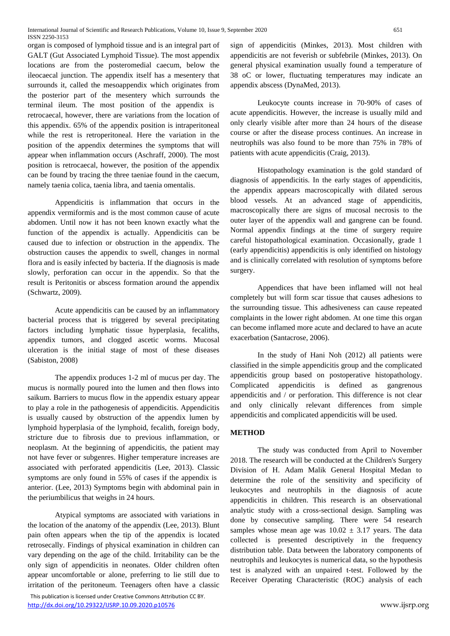organ is composed of lymphoid tissue and is an integral part of GALT (Gut Associated Lymphoid Tissue). The most appendix locations are from the posteromedial caecum, below the ileocaecal junction. The appendix itself has a mesentery that surrounds it, called the mesoappendix which originates from the posterior part of the mesentery which surrounds the terminal ileum. The most position of the appendix is retrocaecal, however, there are variations from the location of this appendix. 65% of the appendix position is intraperitoneal while the rest is retroperitoneal. Here the variation in the position of the appendix determines the symptoms that will appear when inflammation occurs (Aschraff, 2000). The most position is retrocaecal, however, the position of the appendix can be found by tracing the three taeniae found in the caecum, namely taenia colica, taenia libra, and taenia omentalis.

Appendicitis is inflammation that occurs in the appendix vermiformis and is the most common cause of acute abdomen. Until now it has not been known exactly what the function of the appendix is actually. Appendicitis can be caused due to infection or obstruction in the appendix. The obstruction causes the appendix to swell, changes in normal flora and is easily infected by bacteria. If the diagnosis is made slowly, perforation can occur in the appendix. So that the result is Peritonitis or abscess formation around the appendix (Schwartz, 2009).

Acute appendicitis can be caused by an inflammatory bacterial process that is triggered by several precipitating factors including lymphatic tissue hyperplasia, fecaliths, appendix tumors, and clogged ascetic worms. Mucosal ulceration is the initial stage of most of these diseases (Sabiston, 2008)

The appendix produces 1-2 ml of mucus per day. The mucus is normally poured into the lumen and then flows into saikum. Barriers to mucus flow in the appendix estuary appear to play a role in the pathogenesis of appendicitis. Appendicitis is usually caused by obstruction of the appendix lumen by lymphoid hyperplasia of the lymphoid, fecalith, foreign body, stricture due to fibrosis due to previous inflammation, or neoplasm. At the beginning of appendicitis, the patient may not have fever or subgenres. Higher temperature increases are associated with perforated appendicitis (Lee, 2013). Classic symptoms are only found in 55% of cases if the appendix is anterior. (Lee, 2013) Symptoms begin with abdominal pain in the periumbilicus that weighs in 24 hours.

Atypical symptoms are associated with variations in the location of the anatomy of the appendix (Lee, 2013). Blunt pain often appears when the tip of the appendix is located retrosecally. Findings of physical examination in children can vary depending on the age of the child. Irritability can be the only sign of appendicitis in neonates. Older children often appear uncomfortable or alone, preferring to lie still due to irritation of the peritoneum. Teenagers often have a classic

 This publication is licensed under Creative Commons Attribution CC BY. <http://dx.doi.org/10.29322/IJSRP.10.09.2020.p10576> www.ijsrp.org

sign of appendicitis (Minkes, 2013). Most children with appendicitis are not feverish or subfebrile (Minkes, 2013). On general physical examination usually found a temperature of 38 oC or lower, fluctuating temperatures may indicate an appendix abscess (DynaMed, 2013).

Leukocyte counts increase in 70-90% of cases of acute appendicitis. However, the increase is usually mild and only clearly visible after more than 24 hours of the disease course or after the disease process continues. An increase in neutrophils was also found to be more than 75% in 78% of patients with acute appendicitis (Craig, 2013).

Histopathology examination is the gold standard of diagnosis of appendicitis. In the early stages of appendicitis, the appendix appears macroscopically with dilated serous blood vessels. At an advanced stage of appendicitis, macroscopically there are signs of mucosal necrosis to the outer layer of the appendix wall and gangrene can be found. Normal appendix findings at the time of surgery require careful histopathological examination. Occasionally, grade 1 (early appendicitis) appendicitis is only identified on histology and is clinically correlated with resolution of symptoms before surgery.

Appendices that have been inflamed will not heal completely but will form scar tissue that causes adhesions to the surrounding tissue. This adhesiveness can cause repeated complaints in the lower right abdomen. At one time this organ can become inflamed more acute and declared to have an acute exacerbation (Santacrose, 2006).

In the study of Hani Noh (2012) all patients were classified in the simple appendicitis group and the complicated appendicitis group based on postoperative histopathology. Complicated appendicitis is defined as gangrenous appendicitis and / or perforation. This difference is not clear and only clinically relevant differences from simple appendicitis and complicated appendicitis will be used.

#### **METHOD**

The study was conducted from April to November 2018. The research will be conducted at the Children's Surgery Division of H. Adam Malik General Hospital Medan to determine the role of the sensitivity and specificity of leukocytes and neutrophils in the diagnosis of acute appendicitis in children. This research is an observational analytic study with a cross-sectional design. Sampling was done by consecutive sampling. There were 54 research samples whose mean age was  $10.02 \pm 3.17$  years. The data collected is presented descriptively in the frequency distribution table. Data between the laboratory components of neutrophils and leukocytes is numerical data, so the hypothesis test is analyzed with an unpaired t-test. Followed by the Receiver Operating Characteristic (ROC) analysis of each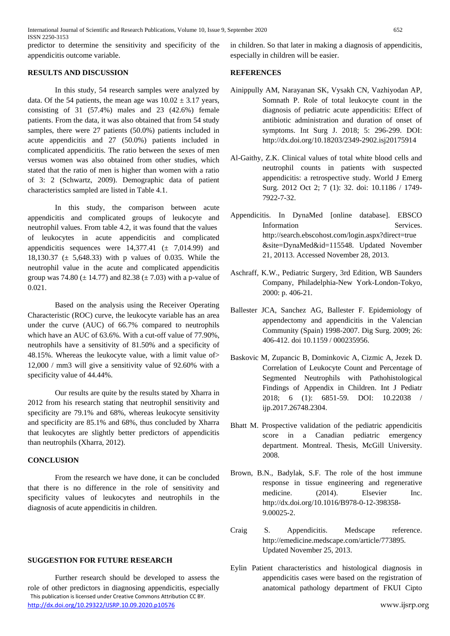predictor to determine the sensitivity and specificity of the appendicitis outcome variable.

#### **RESULTS AND DISCUSSION**

In this study, 54 research samples were analyzed by data. Of the 54 patients, the mean age was  $10.02 \pm 3.17$  years, consisting of 31 (57.4%) males and 23 (42.6%) female patients. From the data, it was also obtained that from 54 study samples, there were 27 patients (50.0%) patients included in acute appendicitis and 27 (50.0%) patients included in complicated appendicitis. The ratio between the sexes of men versus women was also obtained from other studies, which stated that the ratio of men is higher than women with a ratio of 3: 2 (Schwartz, 2009). Demographic data of patient characteristics sampled are listed in Table 4.1.

In this study, the comparison between acute appendicitis and complicated groups of leukocyte and neutrophil values. From table 4.2, it was found that the values of leukocytes in acute appendicitis and complicated appendicitis sequences were  $14,377.41 \pm 7,014.99$  and 18,130.37 (± 5,648.33) with p values of 0.035. While the neutrophil value in the acute and complicated appendicitis group was 74.80 ( $\pm$  14.77) and 82.38 ( $\pm$  7.03) with a p-value of 0.021.

Based on the analysis using the Receiver Operating Characteristic (ROC) curve, the leukocyte variable has an area under the curve (AUC) of 66.7% compared to neutrophils which have an AUC of 63.6%. With a cut-off value of 77.90%, neutrophils have a sensitivity of 81.50% and a specificity of 48.15%. Whereas the leukocyte value, with a limit value of> 12,000 / mm3 will give a sensitivity value of 92.60% with a specificity value of 44.44%.

Our results are quite by the results stated by Xharra in 2012 from his research stating that neutrophil sensitivity and specificity are 79.1% and 68%, whereas leukocyte sensitivity and specificity are 85.1% and 68%, thus concluded by Xharra that leukocytes are slightly better predictors of appendicitis than neutrophils (Xharra, 2012).

#### **CONCLUSION**

From the research we have done, it can be concluded that there is no difference in the role of sensitivity and specificity values of leukocytes and neutrophils in the diagnosis of acute appendicitis in children.

#### **SUGGESTION FOR FUTURE RESEARCH**

 This publication is licensed under Creative Commons Attribution CC BY. <http://dx.doi.org/10.29322/IJSRP.10.09.2020.p10576> www.ijsrp.org Further research should be developed to assess the role of other predictors in diagnosing appendicitis, especially

in children. So that later in making a diagnosis of appendicitis, especially in children will be easier.

#### **REFERENCES**

- Ainippully AM, Narayanan SK, Vysakh CN, Vazhiyodan AP, Somnath P. Role of total leukocyte count in the diagnosis of pediatric acute appendicitis: Effect of antibiotic administration and duration of onset of symptoms. Int Surg J. 2018; 5: 296-299. DOI: <http://dx.doi.org/10.18203/2349-2902.isj20175914>
- Al-Gaithy, Z.K. Clinical values of total white blood cells and neutrophil counts in patients with suspected appendicitis: a retrospective study. World J Emerg Surg. 2012 Oct 2; 7 (1): 32. doi: 10.1186 / 1749- 7922-7-32.
- Appendicitis. In DynaMed [online database]. EBSCO Information Services. http://search.ebscohost.com/login.aspx?direct=true &site=DynaMed&id=115548. Updated November 21, 20113. Accessed November 28, 2013.
- Aschraff, K.W., Pediatric Surgery, 3rd Edition, WB Saunders Company, Philadelphia-New York-London-Tokyo, 2000: p. 406-21.
- Ballester JCA, Sanchez AG, Ballester F. Epidemiology of appendectomy and appendicitis in the Valencian Community (Spain) 1998-2007. Dig Surg. 2009; 26: 406-412. doi 10.1159 / 000235956.
- Baskovic M, Zupancic B, Dominkovic A, Cizmic A, Jezek D. Correlation of Leukocyte Count and Percentage of Segmented Neutrophils with Pathohistological Findings of Appendix in Children. Int J Pediatr 2018; 6 (1): 6851-59. DOI: 10.22038 / ijp.2017.26748.2304.
- Bhatt M. Prospective validation of the pediatric appendicitis score in a Canadian pediatric emergency department. Montreal. Thesis, McGill University. 2008.
- Brown, B.N., Badylak, S.F. The role of the host immune response in tissue engineering and regenerative medicine. (2014). Elsevier Inc. [http://dx.doi.org/10.1016/B978-0-12-398358-](http://dx.doi.org/10.1016/B978-0-12-398358-9.00025-2) [9.00025-2.](http://dx.doi.org/10.1016/B978-0-12-398358-9.00025-2)
- Craig S. Appendicitis. Medscape reference. http://emedicine.medscape.com/article/773895. Updated November 25, 2013.
- Eylin Patient characteristics and histological diagnosis in appendicitis cases were based on the registration of anatomical pathology department of FKUI Cipto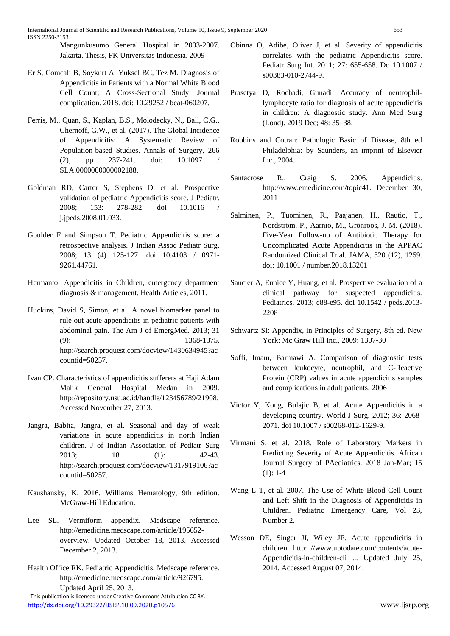International Journal of Scientific and Research Publications, Volume 10, Issue 9, September 2020 653 ISSN 2250-3153

Mangunkusumo General Hospital in 2003-2007. Jakarta. Thesis, FK Universitas Indonesia. 2009

- Er S, Comcali B, Soykurt A, Yuksel BC, Tez M. Diagnosis of Appendicitis in Patients with a Normal White Blood Cell Count; A Cross-Sectional Study. Journal complication. 2018. doi: 10.29252 / beat-060207.
- Ferris, M., Quan, S., Kaplan, B.S., Molodecky, N., Ball, C.G., Chernoff, G.W., et al. (2017). The Global Incidence of Appendicitis: A Systematic Review of Population-based Studies. Annals of Surgery, 266 (2), pp 237-241. doi: 10.1097 / SLA.0000000000002188.
- Goldman RD, Carter S, Stephens D, et al. Prospective validation of pediatric Appendicitis score. J Pediatr. 2008; 153: 278-282. doi 10.1016 / j.jpeds.2008.01.033.
- Goulder F and Simpson T. Pediatric Appendicitis score: a retrospective analysis. J Indian Assoc Pediatr Surg. 2008; 13 (4) 125-127. doi 10.4103 / 0971- 9261.44761.
- Hermanto: Appendicitis in Children, emergency department diagnosis & management. Health Articles, 2011.
- Huckins, David S, Simon, et al. A novel biomarker panel to rule out acute appendicitis in pediatric patients with abdominal pain. The Am J of EmergMed. 2013; 31 (9): 1368-1375. [http://search.proquest.com/docview/1430634945?ac](http://search.proquest.com/docview/1430634945?accountid=50257) [countid=50257.](http://search.proquest.com/docview/1430634945?accountid=50257)
- Ivan CP. Characteristics of appendicitis sufferers at Haji Adam Malik General Hospital Medan in 2009. http://repository.usu.ac.id/handle/123456789/21908. Accessed November 27, 2013.
- Jangra, Babita, Jangra, et al. Seasonal and day of weak variations in acute appendicitis in north Indian children. J of Indian Association of Pediatr Surg 2013; 18 (1): 42-43. [http://search.proquest.com/docview/1317919106?ac](http://search.proquest.com/docview/1317919106?accountid=50257) [countid=50257.](http://search.proquest.com/docview/1317919106?accountid=50257)
- Kaushansky, K. 2016. Williams Hematology, 9th edition. McGraw-Hill Education.
- Lee SL. Vermiform appendix. Medscape reference. http://emedicine.medscape.com/article/195652 overview. Updated October 18, 2013. Accessed December 2, 2013.
- This publication is licensed under Creative Commons Attribution CC BY. Health Office RK. Pediatric Appendicitis. Medscape reference. http://emedicine.medscape.com/article/926795. Updated April 25, 2013.
- Obinna O, Adibe, Oliver J, et al. Severity of appendicitis correlates with the pediatric Appendicitis score. Pediatr Surg Int. 2011; 27: 655-658. Do 10.1007 / s00383-010-2744-9.
- Prasetya D, Rochadi, Gunadi. Accuracy of neutrophillymphocyte ratio for diagnosis of acute appendicitis in children: A diagnostic study. Ann Med Surg (Lond). 2019 Dec; 48: 35–38.
- Robbins and Cotran: Pathologic Basic of Disease, 8th ed Philadelphia: by Saunders, an imprint of Elsevier Inc., 2004.
- Santacrose R., Craig S. 2006. Appendicitis. http://www.emedicine.com/topic41. December 30, 2011
- Salminen, P., Tuominen, R., Paajanen, H., Rautio, T., Nordström, P., Aarnio, M., Grönroos, J. M. (2018). Five-Year Follow-up of Antibiotic Therapy for Uncomplicated Acute Appendicitis in the APPAC Randomized Clinical Trial. JAMA, 320 (12), 1259. doi: 10.1001 / number.2018.13201
- Saucier A, Eunice Y, Huang, et al. Prospective evaluation of a clinical pathway for suspected appendicitis. Pediatrics. 2013; e88-e95. doi 10.1542 / peds.2013- 2208
- Schwartz SI: Appendix, in Principles of Surgery, 8th ed. New York: Mc Graw Hill Inc., 2009: 1307-30
- Soffi, Imam, Barmawi A. Comparison of diagnostic tests between leukocyte, neutrophil, and C-Reactive Protein (CRP) values in acute appendicitis samples and complications in adult patients. 2006
- Victor Y, Kong, Bulajic B, et al. Acute Appendicitis in a developing country. World J Surg. 2012; 36: 2068- 2071. doi 10.1007 / s00268-012-1629-9.
- Virmani S, et al. 2018. Role of Laboratory Markers in Predicting Severity of Acute Appendicitis. African Journal Surgery of PAediatrics. 2018 Jan-Mar; 15  $(1): 1-4$
- Wang L T, et al. 2007. The Use of White Blood Cell Count and Left Shift in the Diagnosis of Appendicitis in Children. Pediatric Emergency Care, Vol 23, Number 2.
- Wesson DE, Singer JI, Wiley JF. Acute appendicitis in children. http: //www.uptodate.com/contents/acute-Appendicitis-in-children-cli ... Updated July 25, 2014. Accessed August 07, 2014.

<http://dx.doi.org/10.29322/IJSRP.10.09.2020.p10576> www.ijsrp.org